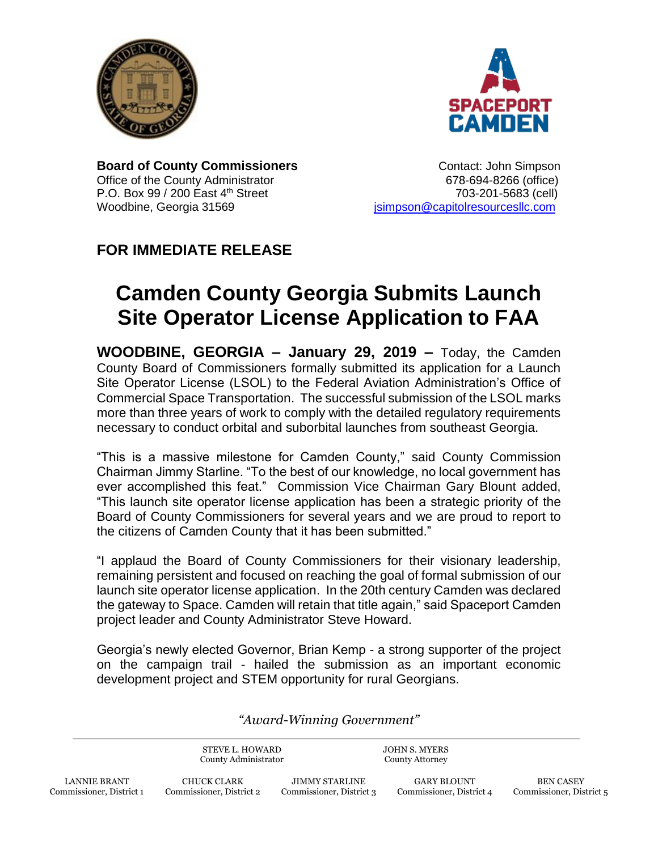



**Board of County Commissioners CONTER 1989** Contact: John Simpson Office of the County Administrator 678-694-8266 (office) P.O. Box 99 / 200 East 4th Street 703-201-5683 (cell) Woodbine, Georgia 31569 **journalist entity of the Capitol**resourcesllc.com

## **FOR IMMEDIATE RELEASE**

## **Camden County Georgia Submits Launch Site Operator License Application to FAA**

**WOODBINE, GEORGIA – January 29, 2019 –** Today, the Camden County Board of Commissioners formally submitted its application for a Launch Site Operator License (LSOL) to the Federal Aviation Administration's Office of Commercial Space Transportation. The successful submission of the LSOL marks more than three years of work to comply with the detailed regulatory requirements necessary to conduct orbital and suborbital launches from southeast Georgia.

"This is a massive milestone for Camden County," said County Commission Chairman Jimmy Starline. "To the best of our knowledge, no local government has ever accomplished this feat." Commission Vice Chairman Gary Blount added, "This launch site operator license application has been a strategic priority of the Board of County Commissioners for several years and we are proud to report to the citizens of Camden County that it has been submitted."

"I applaud the Board of County Commissioners for their visionary leadership, remaining persistent and focused on reaching the goal of formal submission of our launch site operator license application. In the 20th century Camden was declared the gateway to Space. Camden will retain that title again," said Spaceport Camden project leader and County Administrator Steve Howard.

Georgia's newly elected Governor, Brian Kemp - a strong supporter of the project on the campaign trail - hailed the submission as an important economic development project and STEM opportunity for rural Georgians.

*"Award-Winning Government"*

STEVE L. HOWARD County Administrator JOHN S. MYERS County Attorney

LANNIE BRANT Commissioner, District 1

CHUCK CLARK Commissioner, District 2

JIMMY STARLINE Commissioner, District 3

GARY BLOUNT Commissioner, District 4

BEN CASEY Commissioner, District 5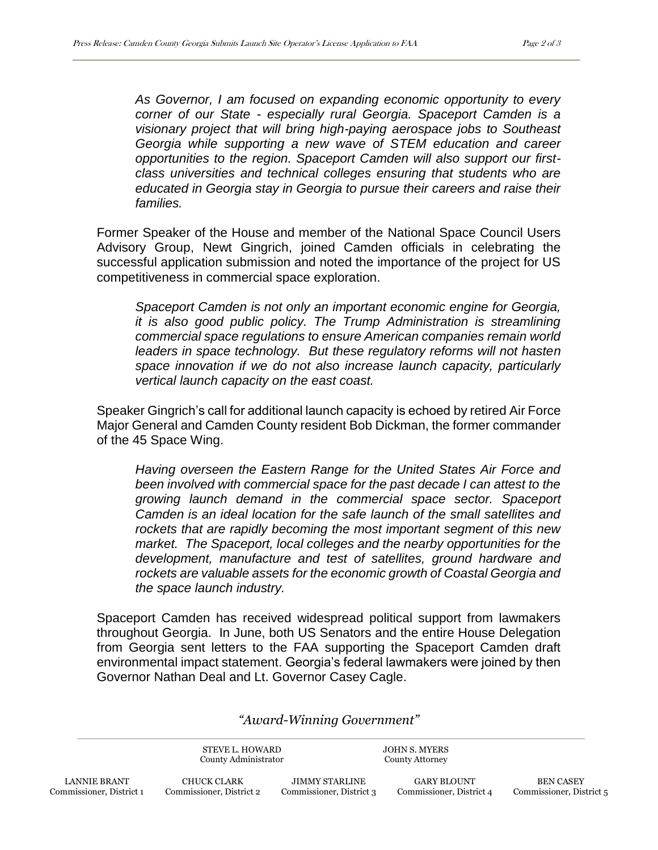*As Governor, I am focused on expanding economic opportunity to every corner of our State - especially rural Georgia. Spaceport Camden is a visionary project that will bring high-paying aerospace jobs to Southeast Georgia while supporting a new wave of STEM education and career opportunities to the region. Spaceport Camden will also support our firstclass universities and technical colleges ensuring that students who are educated in Georgia stay in Georgia to pursue their careers and raise their families.*

Former Speaker of the House and member of the National Space Council Users Advisory Group, Newt Gingrich, joined Camden officials in celebrating the successful application submission and noted the importance of the project for US competitiveness in commercial space exploration.

*Spaceport Camden is not only an important economic engine for Georgia, it is also good public policy. The Trump Administration is streamlining commercial space regulations to ensure American companies remain world*  leaders in space technology. But these regulatory reforms will not hasten *space innovation if we do not also increase launch capacity, particularly vertical launch capacity on the east coast.*

Speaker Gingrich's call for additional launch capacity is echoed by retired Air Force Major General and Camden County resident Bob Dickman, the former commander of the 45 Space Wing.

*Having overseen the Eastern Range for the United States Air Force and been involved with commercial space for the past decade I can attest to the growing launch demand in the commercial space sector. Spaceport Camden is an ideal location for the safe launch of the small satellites and rockets that are rapidly becoming the most important segment of this new market. The Spaceport, local colleges and the nearby opportunities for the development, manufacture and test of satellites, ground hardware and rockets are valuable assets for the economic growth of Coastal Georgia and the space launch industry.*

Spaceport Camden has received widespread political support from lawmakers throughout Georgia. In June, both US Senators and the entire House Delegation from Georgia sent letters to the FAA supporting the Spaceport Camden draft environmental impact statement. Georgia's federal lawmakers were joined by then Governor Nathan Deal and Lt. Governor Casey Cagle.

*"Award-Winning Government"*

STEVE L. HOWARD County Administrator JOHN S. MYERS County Attorney

LANNIE BRANT Commissioner, District 1

CHUCK CLARK Commissioner, District 2

JIMMY STARLINE Commissioner, District 3 Commissioner, District 4

GARY BLOUNT

BEN CASEY Commissioner, District 5